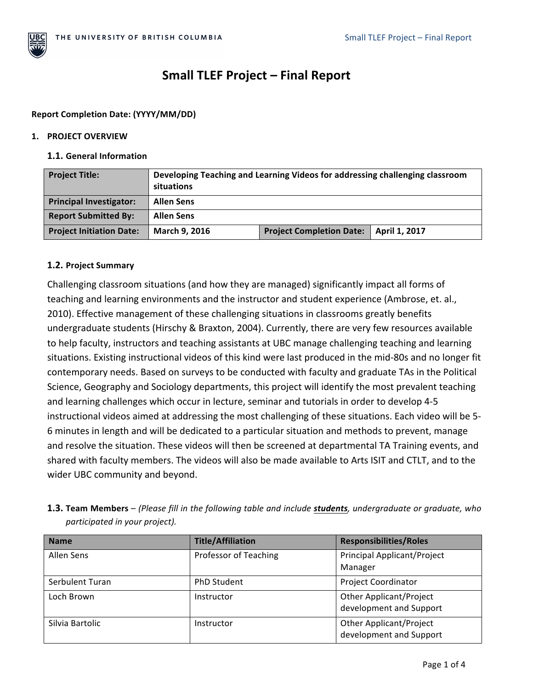

# **Small TLEF Project – Final Report**

### **Report Completion Date: (YYYY/MM/DD)**

#### **1. PROJECT OVERVIEW**

#### **1.1. General Information**

| <b>Project Title:</b>           | Developing Teaching and Learning Videos for addressing challenging classroom<br>situations |                                 |               |  |
|---------------------------------|--------------------------------------------------------------------------------------------|---------------------------------|---------------|--|
| <b>Principal Investigator:</b>  | <b>Allen Sens</b>                                                                          |                                 |               |  |
| <b>Report Submitted By:</b>     | <b>Allen Sens</b>                                                                          |                                 |               |  |
| <b>Project Initiation Date:</b> | March 9, 2016                                                                              | <b>Project Completion Date:</b> | April 1, 2017 |  |

## **1.2. Project Summary**

Challenging classroom situations (and how they are managed) significantly impact all forms of teaching and learning environments and the instructor and student experience (Ambrose, et. al., 2010). Effective management of these challenging situations in classrooms greatly benefits undergraduate students (Hirschy & Braxton, 2004). Currently, there are very few resources available to help faculty, instructors and teaching assistants at UBC manage challenging teaching and learning situations. Existing instructional videos of this kind were last produced in the mid-80s and no longer fit contemporary needs. Based on surveys to be conducted with faculty and graduate TAs in the Political Science, Geography and Sociology departments, this project will identify the most prevalent teaching and learning challenges which occur in lecture, seminar and tutorials in order to develop 4-5 instructional videos aimed at addressing the most challenging of these situations. Each video will be 5-6 minutes in length and will be dedicated to a particular situation and methods to prevent, manage and resolve the situation. These videos will then be screened at departmental TA Training events, and shared with faculty members. The videos will also be made available to Arts ISIT and CTLT, and to the wider UBC community and beyond.

| <b>1.3. Team Members</b> – (Please fill in the following table and include <b>students</b> , undergraduate or graduate, who |  |  |
|-----------------------------------------------------------------------------------------------------------------------------|--|--|
| participated in your project).                                                                                              |  |  |

| <b>Name</b>     | <b>Title/Affiliation</b> | <b>Responsibilities/Roles</b>                             |
|-----------------|--------------------------|-----------------------------------------------------------|
| Allen Sens      | Professor of Teaching    | <b>Principal Applicant/Project</b><br>Manager             |
| Serbulent Turan | <b>PhD Student</b>       | <b>Project Coordinator</b>                                |
| Loch Brown      | Instructor               | <b>Other Applicant/Project</b><br>development and Support |
| Silvia Bartolic | Instructor               | <b>Other Applicant/Project</b><br>development and Support |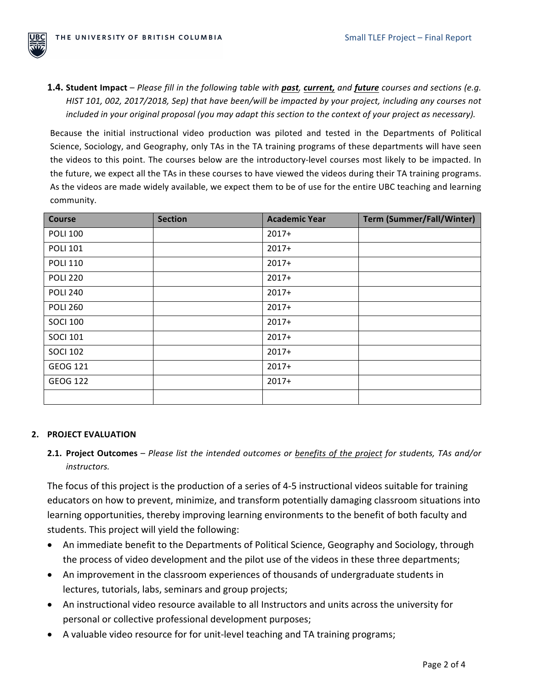

**1.4. Student Impact** – Please fill in the following table with past, current, and future courses and sections (e.g. *HIST* 101, 002, 2017/2018, Sep) that have been/will be impacted by your project, including any courses not *included* in your original proposal (you may adapt this section to the context of your project as necessary).

Because the initial instructional video production was piloted and tested in the Departments of Political Science, Sociology, and Geography, only TAs in the TA training programs of these departments will have seen the videos to this point. The courses below are the introductory-level courses most likely to be impacted. In the future, we expect all the TAs in these courses to have viewed the videos during their TA training programs. As the videos are made widely available, we expect them to be of use for the entire UBC teaching and learning community. 

| Course          | <b>Section</b> | <b>Academic Year</b> | <b>Term (Summer/Fall/Winter)</b> |
|-----------------|----------------|----------------------|----------------------------------|
| <b>POLI 100</b> |                | $2017+$              |                                  |
| <b>POLI 101</b> |                | $2017+$              |                                  |
| <b>POLI 110</b> |                | $2017+$              |                                  |
| <b>POLI 220</b> |                | $2017+$              |                                  |
| <b>POLI 240</b> |                | $2017+$              |                                  |
| <b>POLI 260</b> |                | $2017+$              |                                  |
| <b>SOCI 100</b> |                | $2017+$              |                                  |
| <b>SOCI 101</b> |                | $2017+$              |                                  |
| <b>SOCI 102</b> |                | $2017+$              |                                  |
| GEOG 121        |                | $2017+$              |                                  |
| <b>GEOG 122</b> |                | $2017+$              |                                  |
|                 |                |                      |                                  |

#### **2. PROJECT EVALUATION**

**2.1. Project Outcomes** – *Please list the intended outcomes or benefits of the project for students, TAs and/or instructors.* 

The focus of this project is the production of a series of 4-5 instructional videos suitable for training educators on how to prevent, minimize, and transform potentially damaging classroom situations into learning opportunities, thereby improving learning environments to the benefit of both faculty and students. This project will yield the following:

- An immediate benefit to the Departments of Political Science, Geography and Sociology, through the process of video development and the pilot use of the videos in these three departments;
- An improvement in the classroom experiences of thousands of undergraduate students in lectures, tutorials, labs, seminars and group projects;
- An instructional video resource available to all Instructors and units across the university for personal or collective professional development purposes;
- A valuable video resource for for unit-level teaching and TA training programs;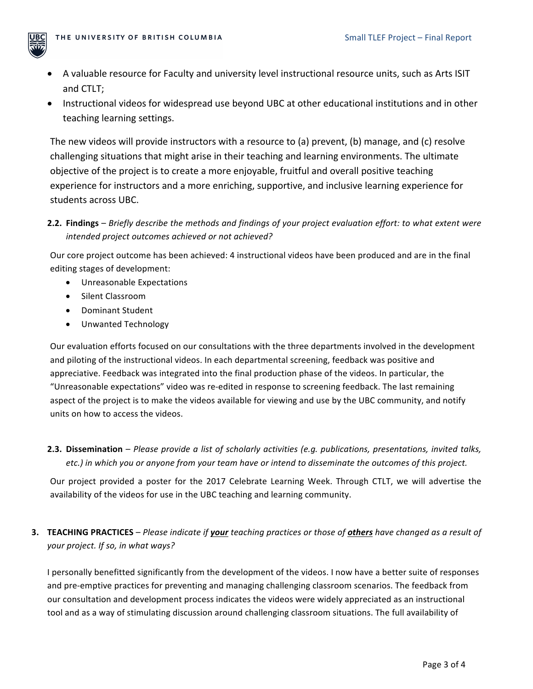

- A valuable resource for Faculty and university level instructional resource units, such as Arts ISIT and CTLT;
- Instructional videos for widespread use beyond UBC at other educational institutions and in other teaching learning settings.

The new videos will provide instructors with a resource to (a) prevent, (b) manage, and (c) resolve challenging situations that might arise in their teaching and learning environments. The ultimate objective of the project is to create a more enjoyable, fruitful and overall positive teaching experience for instructors and a more enriching, supportive, and inclusive learning experience for students across UBC.

**2.2. Findings** – *Briefly describe the methods and findings of your project evaluation effort: to what extent were intended project outcomes achieved or not achieved?* 

Our core project outcome has been achieved: 4 instructional videos have been produced and are in the final editing stages of development:

- Unreasonable Expectations
- Silent Classroom
- Dominant Student
- Unwanted Technology

Our evaluation efforts focused on our consultations with the three departments involved in the development and piloting of the instructional videos. In each departmental screening, feedback was positive and appreciative. Feedback was integrated into the final production phase of the videos. In particular, the "Unreasonable expectations" video was re-edited in response to screening feedback. The last remaining aspect of the project is to make the videos available for viewing and use by the UBC community, and notify units on how to access the videos.

2.3. Dissemination – Please provide a list of scholarly activities (e.g. publications, presentations, invited talks, *etc.)* in which you or anyone from your team have or intend to disseminate the outcomes of this project.

Our project provided a poster for the 2017 Celebrate Learning Week. Through CTLT, we will advertise the availability of the videos for use in the UBC teaching and learning community.

# **3. TEACHING PRACTICES** – Please indicate if **your** teaching practices or those of **others** have changed as a result of your project. If so, in what ways?

I personally benefitted significantly from the development of the videos. I now have a better suite of responses and pre-emptive practices for preventing and managing challenging classroom scenarios. The feedback from our consultation and development process indicates the videos were widely appreciated as an instructional tool and as a way of stimulating discussion around challenging classroom situations. The full availability of